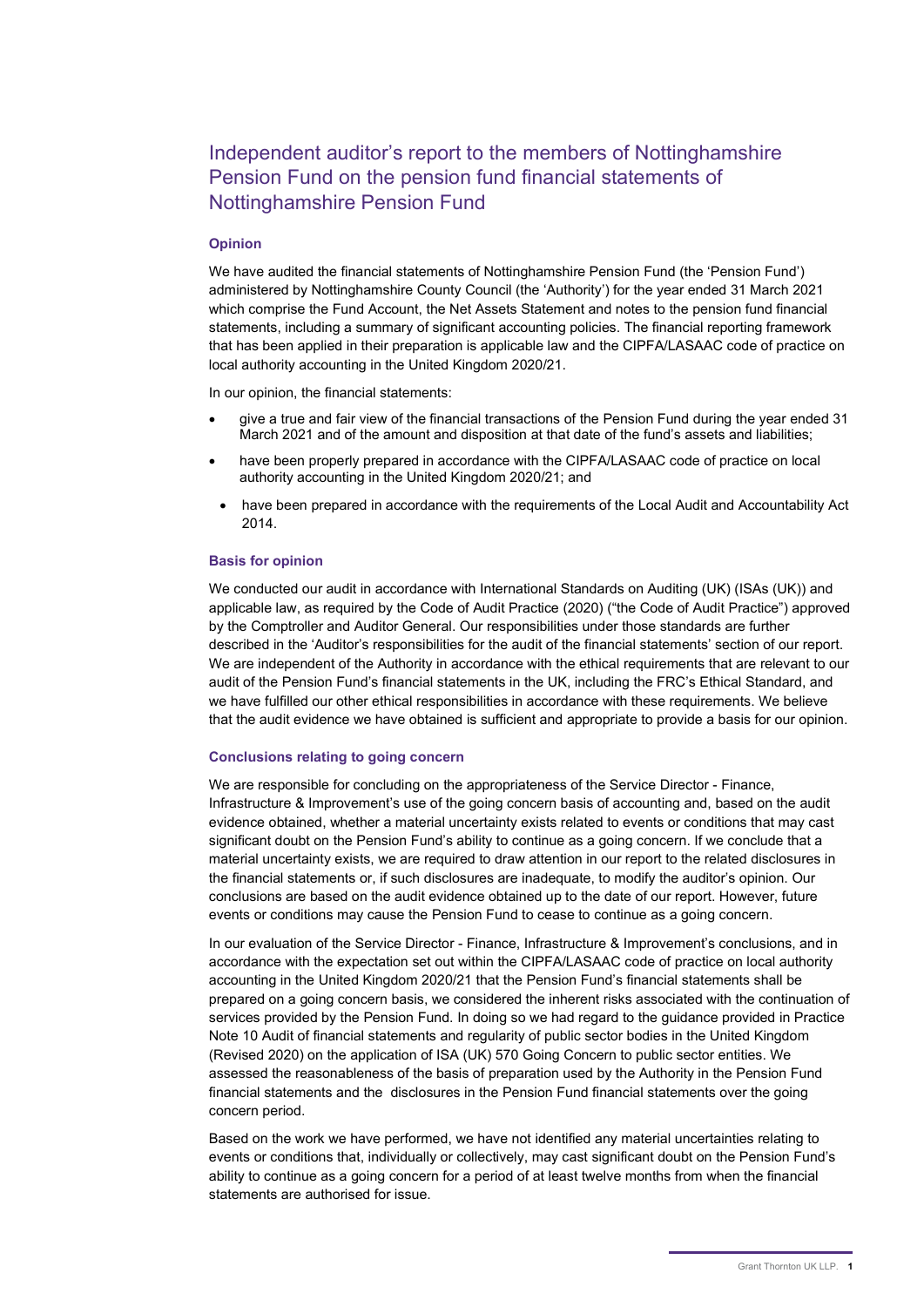# Independent auditor's report to the members of Nottinghamshire Pension Fund on the pension fund financial statements of Nottinghamshire Pension Fund

## Opinion

We have audited the financial statements of Nottinghamshire Pension Fund (the 'Pension Fund') administered by Nottinghamshire County Council (the 'Authority') for the year ended 31 March 2021 which comprise the Fund Account, the Net Assets Statement and notes to the pension fund financial statements, including a summary of significant accounting policies. The financial reporting framework that has been applied in their preparation is applicable law and the CIPFA/LASAAC code of practice on local authority accounting in the United Kingdom 2020/21.

In our opinion, the financial statements:

- give a true and fair view of the financial transactions of the Pension Fund during the year ended 31 March 2021 and of the amount and disposition at that date of the fund's assets and liabilities;
- have been properly prepared in accordance with the CIPFA/LASAAC code of practice on local authority accounting in the United Kingdom 2020/21; and
- have been prepared in accordance with the requirements of the Local Audit and Accountability Act 2014.

#### Basis for opinion

We conducted our audit in accordance with International Standards on Auditing (UK) (ISAs (UK)) and applicable law, as required by the Code of Audit Practice (2020) ("the Code of Audit Practice") approved by the Comptroller and Auditor General. Our responsibilities under those standards are further described in the 'Auditor's responsibilities for the audit of the financial statements' section of our report. We are independent of the Authority in accordance with the ethical requirements that are relevant to our audit of the Pension Fund's financial statements in the UK, including the FRC's Ethical Standard, and we have fulfilled our other ethical responsibilities in accordance with these requirements. We believe that the audit evidence we have obtained is sufficient and appropriate to provide a basis for our opinion.

#### Conclusions relating to going concern

We are responsible for concluding on the appropriateness of the Service Director - Finance, Infrastructure & Improvement's use of the going concern basis of accounting and, based on the audit evidence obtained, whether a material uncertainty exists related to events or conditions that may cast significant doubt on the Pension Fund's ability to continue as a going concern. If we conclude that a material uncertainty exists, we are required to draw attention in our report to the related disclosures in the financial statements or, if such disclosures are inadequate, to modify the auditor's opinion. Our conclusions are based on the audit evidence obtained up to the date of our report. However, future events or conditions may cause the Pension Fund to cease to continue as a going concern.

In our evaluation of the Service Director - Finance, Infrastructure & Improvement's conclusions, and in accordance with the expectation set out within the CIPFA/LASAAC code of practice on local authority accounting in the United Kingdom 2020/21 that the Pension Fund's financial statements shall be prepared on a going concern basis, we considered the inherent risks associated with the continuation of services provided by the Pension Fund. In doing so we had regard to the guidance provided in Practice Note 10 Audit of financial statements and regularity of public sector bodies in the United Kingdom (Revised 2020) on the application of ISA (UK) 570 Going Concern to public sector entities. We assessed the reasonableness of the basis of preparation used by the Authority in the Pension Fund financial statements and the disclosures in the Pension Fund financial statements over the going concern period.

Based on the work we have performed, we have not identified any material uncertainties relating to events or conditions that, individually or collectively, may cast significant doubt on the Pension Fund's ability to continue as a going concern for a period of at least twelve months from when the financial statements are authorised for issue.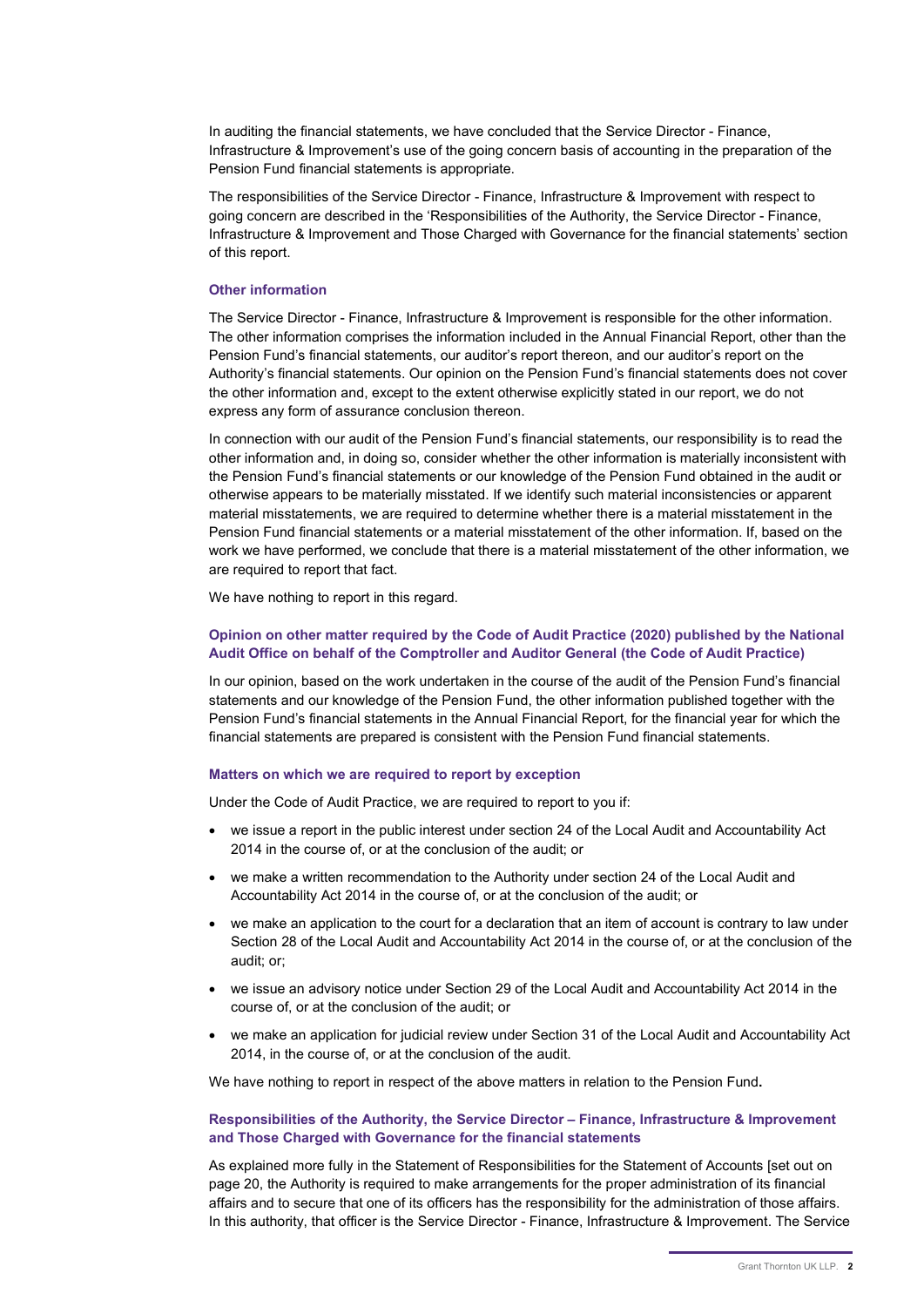In auditing the financial statements, we have concluded that the Service Director - Finance, Infrastructure & Improvement's use of the going concern basis of accounting in the preparation of the Pension Fund financial statements is appropriate.

The responsibilities of the Service Director - Finance, Infrastructure & Improvement with respect to going concern are described in the 'Responsibilities of the Authority, the Service Director - Finance, Infrastructure & Improvement and Those Charged with Governance for the financial statements' section of this report.

#### Other information

The Service Director - Finance, Infrastructure & Improvement is responsible for the other information. The other information comprises the information included in the Annual Financial Report, other than the Pension Fund's financial statements, our auditor's report thereon, and our auditor's report on the Authority's financial statements. Our opinion on the Pension Fund's financial statements does not cover the other information and, except to the extent otherwise explicitly stated in our report, we do not express any form of assurance conclusion thereon.

In connection with our audit of the Pension Fund's financial statements, our responsibility is to read the other information and, in doing so, consider whether the other information is materially inconsistent with the Pension Fund's financial statements or our knowledge of the Pension Fund obtained in the audit or otherwise appears to be materially misstated. If we identify such material inconsistencies or apparent material misstatements, we are required to determine whether there is a material misstatement in the Pension Fund financial statements or a material misstatement of the other information. If, based on the work we have performed, we conclude that there is a material misstatement of the other information, we are required to report that fact.

We have nothing to report in this regard.

## Opinion on other matter required by the Code of Audit Practice (2020) published by the National Audit Office on behalf of the Comptroller and Auditor General (the Code of Audit Practice)

In our opinion, based on the work undertaken in the course of the audit of the Pension Fund's financial statements and our knowledge of the Pension Fund, the other information published together with the Pension Fund's financial statements in the Annual Financial Report, for the financial year for which the financial statements are prepared is consistent with the Pension Fund financial statements.

#### Matters on which we are required to report by exception

Under the Code of Audit Practice, we are required to report to you if:

- we issue a report in the public interest under section 24 of the Local Audit and Accountability Act 2014 in the course of, or at the conclusion of the audit; or
- we make a written recommendation to the Authority under section 24 of the Local Audit and Accountability Act 2014 in the course of, or at the conclusion of the audit; or
- we make an application to the court for a declaration that an item of account is contrary to law under Section 28 of the Local Audit and Accountability Act 2014 in the course of, or at the conclusion of the audit; or;
- we issue an advisory notice under Section 29 of the Local Audit and Accountability Act 2014 in the course of, or at the conclusion of the audit; or
- we make an application for judicial review under Section 31 of the Local Audit and Accountability Act 2014, in the course of, or at the conclusion of the audit.

We have nothing to report in respect of the above matters in relation to the Pension Fund.

### Responsibilities of the Authority, the Service Director – Finance, Infrastructure & Improvement and Those Charged with Governance for the financial statements

As explained more fully in the Statement of Responsibilities for the Statement of Accounts [set out on page 20, the Authority is required to make arrangements for the proper administration of its financial affairs and to secure that one of its officers has the responsibility for the administration of those affairs. In this authority, that officer is the Service Director - Finance, Infrastructure & Improvement. The Service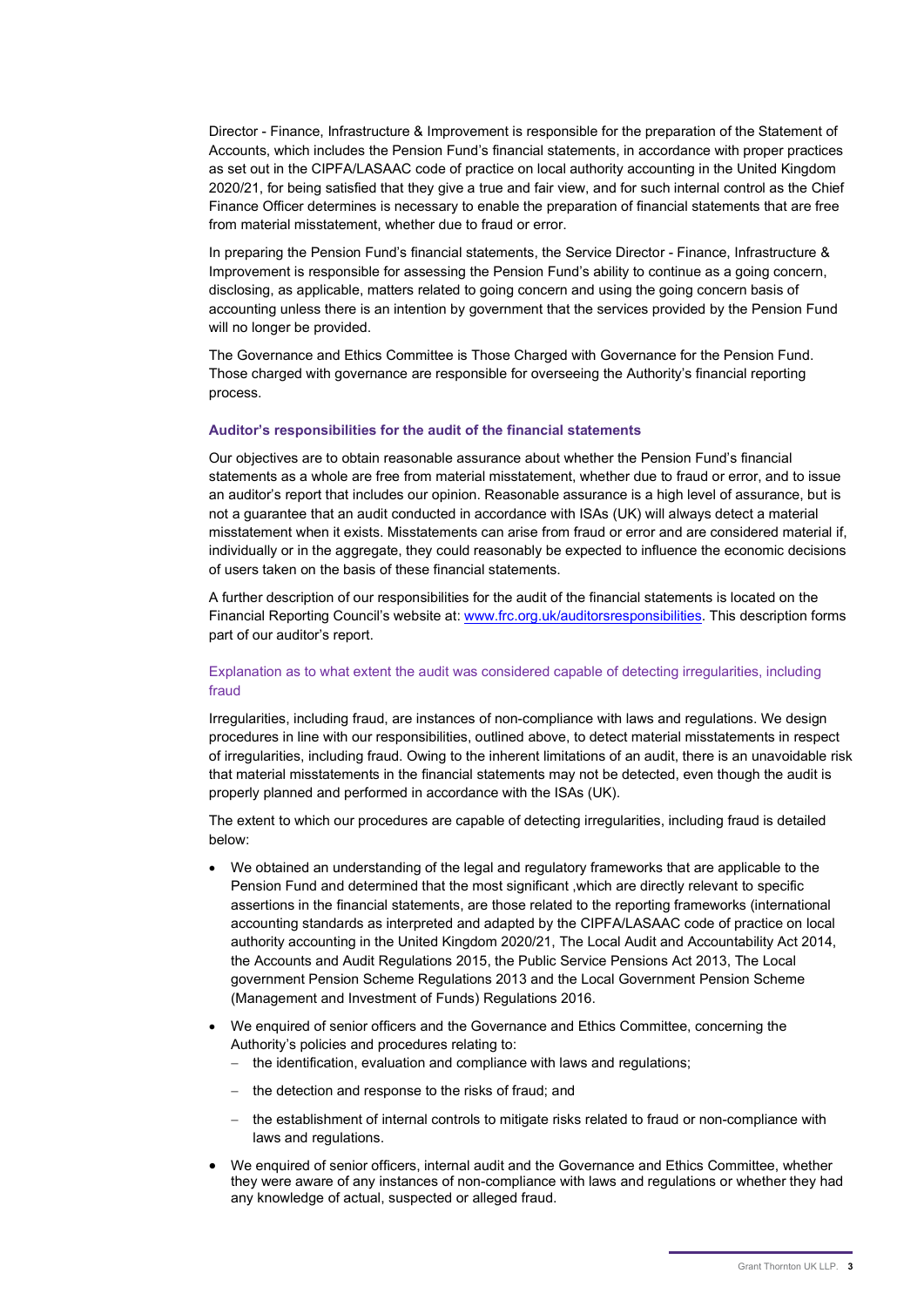Director - Finance, Infrastructure & Improvement is responsible for the preparation of the Statement of Accounts, which includes the Pension Fund's financial statements, in accordance with proper practices as set out in the CIPFA/LASAAC code of practice on local authority accounting in the United Kingdom 2020/21, for being satisfied that they give a true and fair view, and for such internal control as the Chief Finance Officer determines is necessary to enable the preparation of financial statements that are free from material misstatement, whether due to fraud or error.

In preparing the Pension Fund's financial statements, the Service Director - Finance, Infrastructure & Improvement is responsible for assessing the Pension Fund's ability to continue as a going concern, disclosing, as applicable, matters related to going concern and using the going concern basis of accounting unless there is an intention by government that the services provided by the Pension Fund will no longer be provided.

The Governance and Ethics Committee is Those Charged with Governance for the Pension Fund. Those charged with governance are responsible for overseeing the Authority's financial reporting process.

#### Auditor's responsibilities for the audit of the financial statements

Our objectives are to obtain reasonable assurance about whether the Pension Fund's financial statements as a whole are free from material misstatement, whether due to fraud or error, and to issue an auditor's report that includes our opinion. Reasonable assurance is a high level of assurance, but is not a guarantee that an audit conducted in accordance with ISAs (UK) will always detect a material misstatement when it exists. Misstatements can arise from fraud or error and are considered material if, individually or in the aggregate, they could reasonably be expected to influence the economic decisions of users taken on the basis of these financial statements.

A further description of our responsibilities for the audit of the financial statements is located on the Financial Reporting Council's website at: www.frc.org.uk/auditorsresponsibilities. This description forms part of our auditor's report.

# Explanation as to what extent the audit was considered capable of detecting irregularities, including fraud

Irregularities, including fraud, are instances of non-compliance with laws and regulations. We design procedures in line with our responsibilities, outlined above, to detect material misstatements in respect of irregularities, including fraud. Owing to the inherent limitations of an audit, there is an unavoidable risk that material misstatements in the financial statements may not be detected, even though the audit is properly planned and performed in accordance with the ISAs (UK).

The extent to which our procedures are capable of detecting irregularities, including fraud is detailed below:

- We obtained an understanding of the legal and regulatory frameworks that are applicable to the Pension Fund and determined that the most significant ,which are directly relevant to specific assertions in the financial statements, are those related to the reporting frameworks (international accounting standards as interpreted and adapted by the CIPFA/LASAAC code of practice on local authority accounting in the United Kingdom 2020/21, The Local Audit and Accountability Act 2014, the Accounts and Audit Regulations 2015, the Public Service Pensions Act 2013, The Local government Pension Scheme Regulations 2013 and the Local Government Pension Scheme (Management and Investment of Funds) Regulations 2016.
- We enquired of senior officers and the Governance and Ethics Committee, concerning the Authority's policies and procedures relating to:
	- the identification, evaluation and compliance with laws and regulations;
	- the detection and response to the risks of fraud; and
	- the establishment of internal controls to mitigate risks related to fraud or non-compliance with laws and regulations.
- We enquired of senior officers, internal audit and the Governance and Ethics Committee, whether they were aware of any instances of non-compliance with laws and regulations or whether they had any knowledge of actual, suspected or alleged fraud.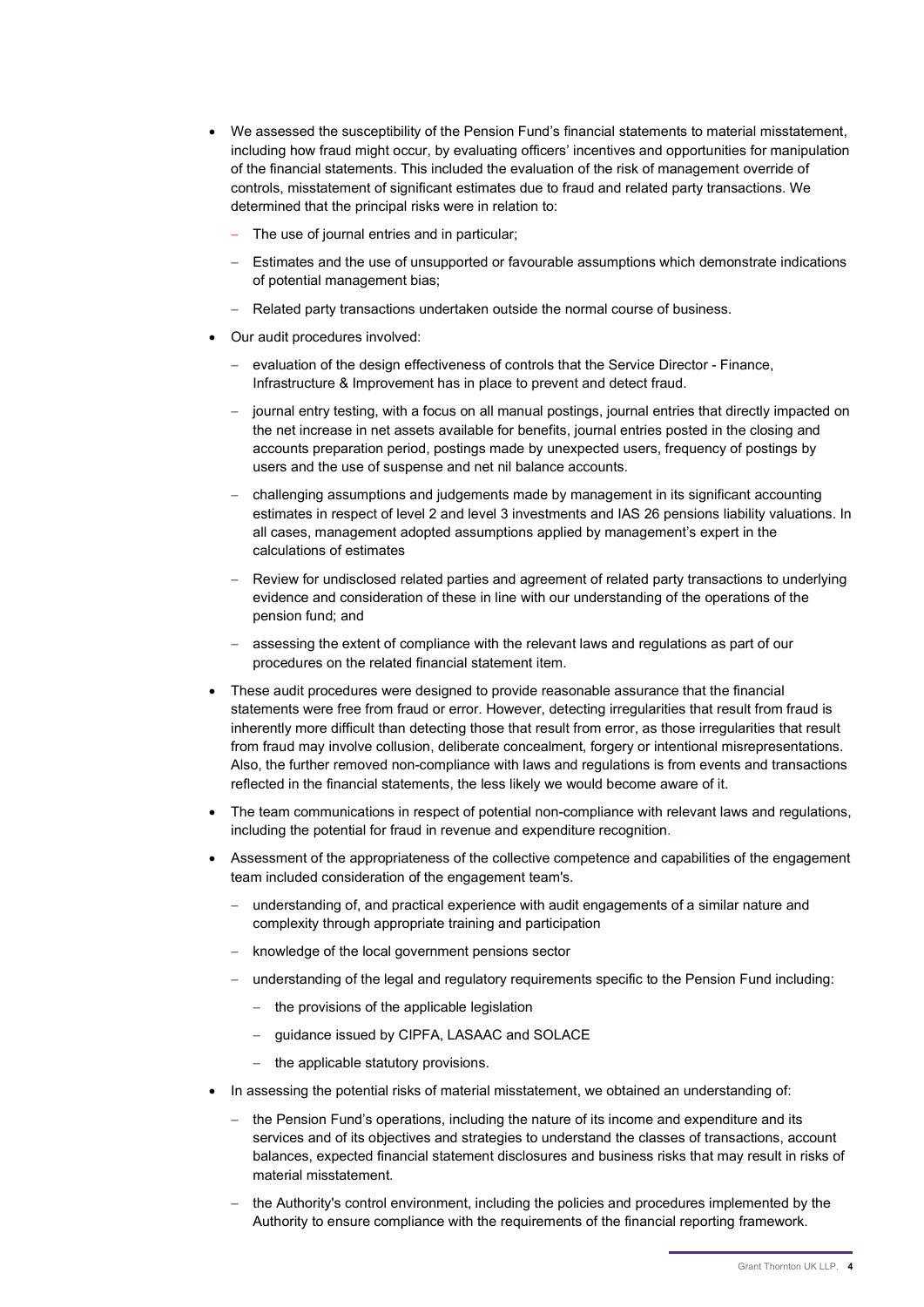- We assessed the susceptibility of the Pension Fund's financial statements to material misstatement. including how fraud might occur, by evaluating officers' incentives and opportunities for manipulation of the financial statements. This included the evaluation of the risk of management override of controls, misstatement of significant estimates due to fraud and related party transactions. We determined that the principal risks were in relation to:
	- The use of journal entries and in particular;
	- Estimates and the use of unsupported or favourable assumptions which demonstrate indications of potential management bias;
	- Related party transactions undertaken outside the normal course of business.
- Our audit procedures involved:
	- evaluation of the design effectiveness of controls that the Service Director Finance, Infrastructure & Improvement has in place to prevent and detect fraud.
	- journal entry testing, with a focus on all manual postings, journal entries that directly impacted on the net increase in net assets available for benefits, journal entries posted in the closing and accounts preparation period, postings made by unexpected users, frequency of postings by users and the use of suspense and net nil balance accounts.
	- challenging assumptions and judgements made by management in its significant accounting estimates in respect of level 2 and level 3 investments and IAS 26 pensions liability valuations. In all cases, management adopted assumptions applied by management's expert in the calculations of estimates
	- Review for undisclosed related parties and agreement of related party transactions to underlying evidence and consideration of these in line with our understanding of the operations of the pension fund; and
	- assessing the extent of compliance with the relevant laws and regulations as part of our procedures on the related financial statement item.
- These audit procedures were designed to provide reasonable assurance that the financial statements were free from fraud or error. However, detecting irregularities that result from fraud is inherently more difficult than detecting those that result from error, as those irregularities that result from fraud may involve collusion, deliberate concealment, forgery or intentional misrepresentations. Also, the further removed non-compliance with laws and regulations is from events and transactions reflected in the financial statements, the less likely we would become aware of it.
- The team communications in respect of potential non-compliance with relevant laws and regulations, including the potential for fraud in revenue and expenditure recognition.
- Assessment of the appropriateness of the collective competence and capabilities of the engagement team included consideration of the engagement team's.
	- understanding of, and practical experience with audit engagements of a similar nature and complexity through appropriate training and participation
	- knowledge of the local government pensions sector
	- understanding of the legal and regulatory requirements specific to the Pension Fund including:
		- the provisions of the applicable legislation
		- guidance issued by CIPFA, LASAAC and SOLACE
		- the applicable statutory provisions.
- In assessing the potential risks of material misstatement, we obtained an understanding of:
	- $-$  the Pension Fund's operations, including the nature of its income and expenditure and its services and of its objectives and strategies to understand the classes of transactions, account balances, expected financial statement disclosures and business risks that may result in risks of material misstatement.
	- the Authority's control environment, including the policies and procedures implemented by the Authority to ensure compliance with the requirements of the financial reporting framework.